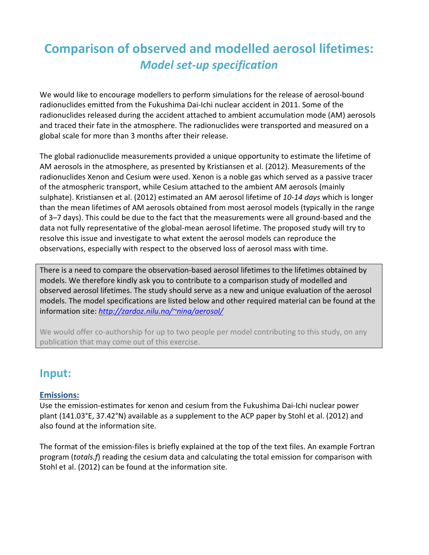# **Comparison of observed and modelled aerosol lifetimes:**  *Model set-up specification*

We would like to encourage modellers to perform simulations for the release of aerosol-bound radionuclides emitted from the Fukushima Dai-Ichi nuclear accident in 2011. Some of the radionuclides released during the accident attached to ambient accumulation mode (AM) aerosols and traced their fate in the atmosphere. The radionuclides were transported and measured on a global scale for more than 3 months after their release.

The global radionuclide measurements provided a unique opportunity to estimate the lifetime of AM aerosols in the atmosphere, as presented by Kristiansen et al. (2012). Measurements of the radionuclides Xenon and Cesium were used. Xenon is a noble gas which served as a passive tracer of the atmospheric transport, while Cesium attached to the ambient AM aerosols (mainly sulphate). Kristiansen et al. (2012) estimated an AM aerosol lifetime of *10-14 days* which is longer than the mean lifetimes of AM aerosols obtained from most aerosol models (typically in the range of 3–7 days). This could be due to the fact that the measurements were all ground-based and the data not fully representative of the global-mean aerosol lifetime. The proposed study will try to resolve this issue and investigate to what extent the aerosol models can reproduce the observations, especially with respect to the observed loss of aerosol mass with time.

There is a need to compare the observation-based aerosol lifetimes to the lifetimes obtained by models. We therefore kindly ask you to contribute to a comparison study of modelled and observed aerosol lifetimes. The study should serve as a new and unique evaluation of the aerosol models. The model specifications are listed below and other required material can be found at the information site: *http://zardoz.nilu.no/~nina/aerosol/*

We would offer co-authorship for up to two people per model contributing to this study, on any publication that may come out of this exercise.

### **Input:**

### **Emissions:**

Use the emission-estimates for xenon and cesium from the Fukushima Dai-Ichi nuclear power plant (141.03°E, 37.42°N) available as a supplement to the ACP paper by Stohl et al. (2012) and also found at the information site.

The format of the emission-files is briefly explained at the top of the text files. An example Fortran program (*totals.f*) reading the cesium data and calculating the total emission for comparison with Stohl et al. (2012) can be found at the information site.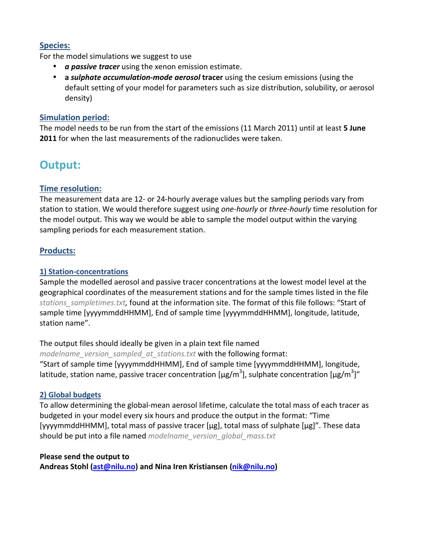### **Species:**

For the model simulations we suggest to use

- *a passive tracer* using the xenon emission estimate.
- **a** *sulphate accumulation-mode aerosol* **tracer** using the cesium emissions (using the default setting of your model for parameters such as size distribution, solubility, or aerosol density)

#### **Simulation period:**

The model needs to be run from the start of the emissions (11 March 2011) until at least **5 June 2011** for when the last measurements of the radionuclides were taken.

## **Output:**

### **Time resolution:**

The measurement data are 12- or 24-hourly average values but the sampling periods vary from station to station. We would therefore suggest using *one-hourly* or *three-hourly* time resolution for the model output. This way we would be able to sample the model output within the varying sampling periods for each measurement station.

### **Products:**

#### **1) Station-concentrations**

Sample the modelled aerosol and passive tracer concentrations at the lowest model level at the geographical coordinates of the measurement stations and for the sample times listed in the file *stations\_sampletimes.txt,* found at the information site. The format of this file follows: "Start of sample time [yyyymmddHHMM], End of sample time [yyyymmddHHMM], longitude, latitude, station name".

The output files should ideally be given in a plain text file named *modelname\_version\_sampled\_at\_stations.txt* with the following format: "Start of sample time [yyyymmddHHMM], End of sample time [yyyymmddHHMM], longitude, latitude, station name, passive tracer concentration [µg/m<sup>3</sup>], sulphate concentration [µg/m<sup>3</sup>]"

#### **2) Global budgets**

To allow determining the global-mean aerosol lifetime, calculate the total mass of each tracer as budgeted in your model every six hours and produce the output in the format: "Time [yyyymmddHHMM], total mass of passive tracer [µg], total mass of sulphate [µg]". These data should be put into a file named *modelname\_version\_global\_mass.txt*

#### **Please send the output to**

**Andreas Stohl (ast@nilu.no) and Nina Iren Kristiansen (nik@nilu.no)**